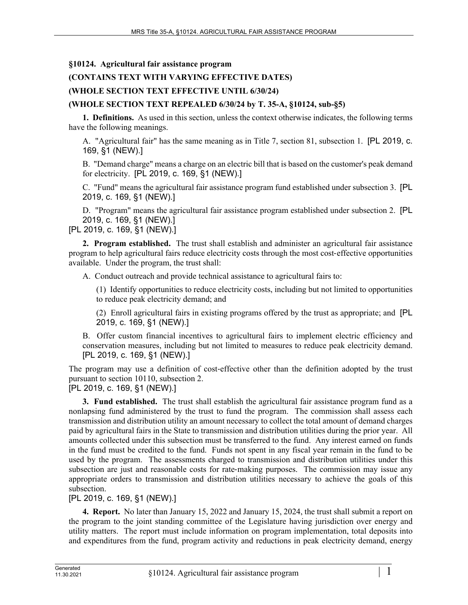#### **§10124. Agricultural fair assistance program**

# **(CONTAINS TEXT WITH VARYING EFFECTIVE DATES)**

# **(WHOLE SECTION TEXT EFFECTIVE UNTIL 6/30/24)**

### **(WHOLE SECTION TEXT REPEALED 6/30/24 by T. 35-A, §10124, sub-§5)**

**1. Definitions.** As used in this section, unless the context otherwise indicates, the following terms have the following meanings.

A. "Agricultural fair" has the same meaning as in Title 7, section 81, subsection 1. [PL 2019, c. 169, §1 (NEW).]

B. "Demand charge" means a charge on an electric bill that is based on the customer's peak demand for electricity. [PL 2019, c. 169, §1 (NEW).]

C. "Fund" means the agricultural fair assistance program fund established under subsection 3. [PL 2019, c. 169, §1 (NEW).]

D. "Program" means the agricultural fair assistance program established under subsection 2. [PL 2019, c. 169, §1 (NEW).]

[PL 2019, c. 169, §1 (NEW).]

**2. Program established.** The trust shall establish and administer an agricultural fair assistance program to help agricultural fairs reduce electricity costs through the most cost‑effective opportunities available. Under the program, the trust shall:

A. Conduct outreach and provide technical assistance to agricultural fairs to:

(1) Identify opportunities to reduce electricity costs, including but not limited to opportunities to reduce peak electricity demand; and

(2) Enroll agricultural fairs in existing programs offered by the trust as appropriate; and [PL 2019, c. 169, §1 (NEW).]

B. Offer custom financial incentives to agricultural fairs to implement electric efficiency and conservation measures, including but not limited to measures to reduce peak electricity demand. [PL 2019, c. 169, §1 (NEW).]

The program may use a definition of cost-effective other than the definition adopted by the trust pursuant to section 10110, subsection 2.

[PL 2019, c. 169, §1 (NEW).]

**3. Fund established.** The trust shall establish the agricultural fair assistance program fund as a nonlapsing fund administered by the trust to fund the program. The commission shall assess each transmission and distribution utility an amount necessary to collect the total amount of demand charges paid by agricultural fairs in the State to transmission and distribution utilities during the prior year. All amounts collected under this subsection must be transferred to the fund. Any interest earned on funds in the fund must be credited to the fund. Funds not spent in any fiscal year remain in the fund to be used by the program. The assessments charged to transmission and distribution utilities under this subsection are just and reasonable costs for rate–making purposes. The commission may issue any appropriate orders to transmission and distribution utilities necessary to achieve the goals of this subsection.

# [PL 2019, c. 169, §1 (NEW).]

**4. Report.** No later than January 15, 2022 and January 15, 2024, the trust shall submit a report on the program to the joint standing committee of the Legislature having jurisdiction over energy and utility matters. The report must include information on program implementation, total deposits into and expenditures from the fund, program activity and reductions in peak electricity demand, energy